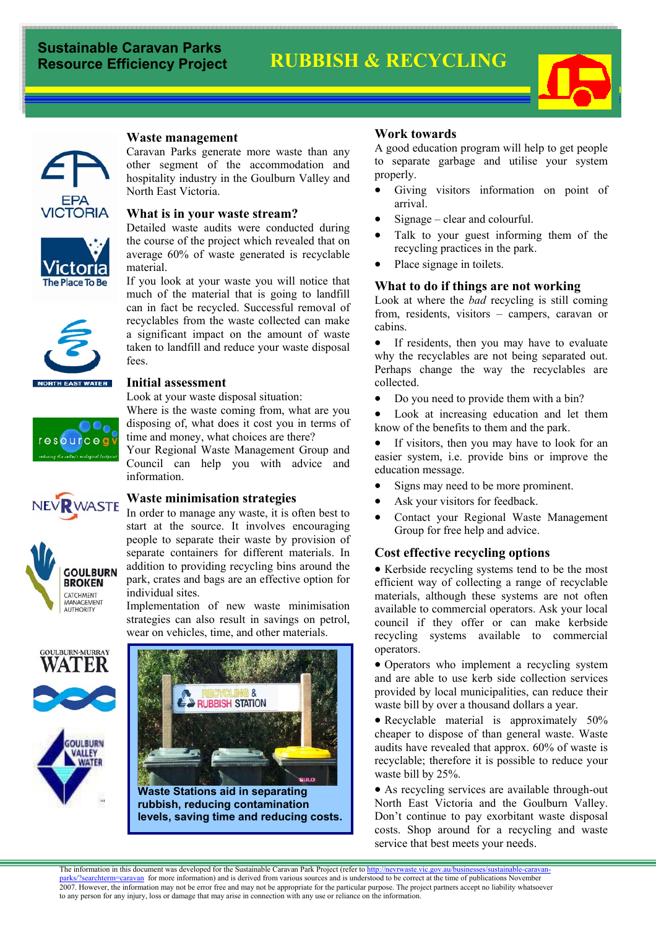# **RUBBISH & RECYCLING**





The Place To Be

# **Waste management**

Caravan Parks generate more waste than any other segment of the accommodation and hospitality industry in the Goulburn Valley and North East Victoria.



#### **What is in your waste stream?**

Detailed waste audits were conducted during the course of the project which revealed that on average 60% of waste generated is recyclable material.

If you look at your waste you will notice that much of the material that is going to landfill can in fact be recycled. Successful removal of recyclables from the waste collected can make a significant impact on the amount of waste taken to landfill and reduce your waste disposal fees.



**GOULBURN BROKEN** CATCHMENT MANAGEMENT AUTHORITY

**NORTH EAST WATER** 

#### **Initial assessment**

Look at your waste disposal situation:

Where is the waste coming from, what are you disposing of, what does it cost you in terms of time and money, what choices are there?

Your Regional Waste Management Group and Council can help you with advice and information.

#### **Waste minimisation strategies NEV RWASTE**

In order to manage any waste, it is often best to start at the source. It involves encouraging people to separate their waste by provision of separate containers for different materials. In addition to providing recycling bins around the park, crates and bags are an effective option for individual sites.

Implementation of new waste minimisation strategies can also result in savings on petrol, wear on vehicles, time, and other materials.





### **Work towards**

A good education program will help to get people to separate garbage and utilise your system properly.

- Giving visitors information on point of arrival.
- Signage clear and colourful.
- Talk to your guest informing them of the recycling practices in the park.
- Place signage in toilets.

#### **What to do if things are not working**

Look at where the *bad* recycling is still coming from, residents, visitors – campers, caravan or cabins.

• If residents, then you may have to evaluate why the recyclables are not being separated out. Perhaps change the way the recyclables are collected.

- Do you need to provide them with a bin?
- Look at increasing education and let them know of the benefits to them and the park.
- If visitors, then you may have to look for an easier system, i.e. provide bins or improve the education message.
- Signs may need to be more prominent.
- Ask your visitors for feedback.
- Contact your Regional Waste Management Group for free help and advice.

### **Cost effective recycling options**

• Kerbside recycling systems tend to be the most efficient way of collecting a range of recyclable materials, although these systems are not often available to commercial operators. Ask your local council if they offer or can make kerbside recycling systems available to commercial operators.

• Operators who implement a recycling system and are able to use kerb side collection services provided by local municipalities, can reduce their waste bill by over a thousand dollars a year.

• Recyclable material is approximately 50% cheaper to dispose of than general waste. Waste audits have revealed that approx. 60% of waste is recyclable; therefore it is possible to reduce your waste bill by 25%.

• As recycling services are available through-out North East Victoria and the Goulburn Valley. Don't continue to pay exorbitant waste disposal costs. Shop around for a recycling and waste service that best meets your needs.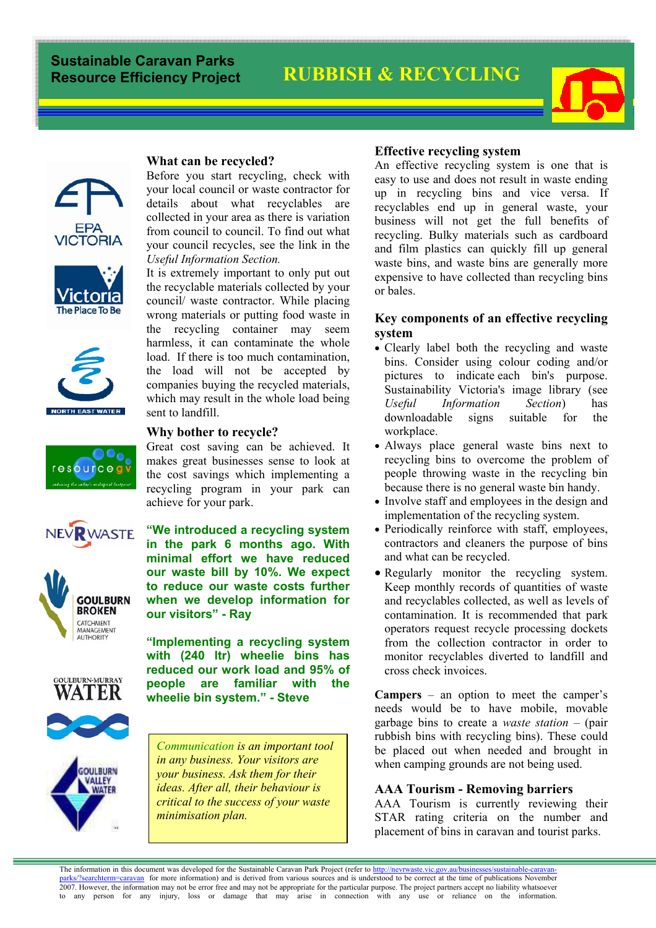# **RUBBISH & RECYCLING**







resource











#### **What can be recycled?**

Before you start recycling, check with your local council or waste contractor for details about what recyclables are collected in your area as there is variation from council to council. To find out what your council recycles, see the link in the *Useful Information Section.* 

It is extremely important to only put out the recyclable materials collected by your council/ waste contractor. While placing wrong materials or putting food waste in the recycling container may seem harmless, it can contaminate the whole load. If there is too much contamination, the load will not be accepted by companies buying the recycled materials, which may result in the whole load being sent to landfill.

#### **Why bother to recycle?**

Great cost saving can be achieved. It makes great businesses sense to look at the cost savings which implementing a recycling program in your park can achieve for your park.

**"We introduced a recycling system in the park 6 months ago. With minimal effort we have reduced our waste bill by 10%. We expect to reduce our waste costs further when we develop information for our visitors" - Ray** 

**"Implementing a recycling system with (240 ltr) wheelie bins has reduced our work load and 95% of people are familiar with the wheelie bin system." - Steve** 

*Communication is an important tool in any business. Your visitors are your business. Ask them for their ideas. After all, their behaviour is critical to the success of your waste minimisation plan.* 

#### **Effective recycling system**

An effective recycling system is one that is easy to use and does not result in waste ending up in recycling bins and vice versa. If recyclables end up in general waste, your business will not get the full benefits of recycling. Bulky materials such as cardboard and film plastics can quickly fill up general waste bins, and waste bins are generally more expensive to have collected than recycling bins or bales.

## **Key components of an effective recycling system**

- Clearly label both the recycling and waste bins. Consider using colour coding and/or pictures to indicate each bin's purpose. Sustainability Victoria's image library (see *Useful Information Section*) has downloadable signs suitable for the workplace.
- Always place general waste bins next to recycling bins to overcome the problem of people throwing waste in the recycling bin because there is no general waste bin handy.
- Involve staff and employees in the design and implementation of the recycling system.
- Periodically reinforce with staff, employees, contractors and cleaners the purpose of bins and what can be recycled.
- Regularly monitor the recycling system. Keep monthly records of quantities of waste and recyclables collected, as well as levels of contamination. It is recommended that park operators request recycle processing dockets from the collection contractor in order to monitor recyclables diverted to landfill and cross check invoices.

**Campers** – an option to meet the camper's needs would be to have mobile, movable garbage bins to create a *waste station* – (pair rubbish bins with recycling bins). These could be placed out when needed and brought in when camping grounds are not being used.

### **AAA Tourism - Removing barriers**

AAA Tourism is currently reviewing their STAR rating criteria on the number and placement of bins in caravan and tourist parks.